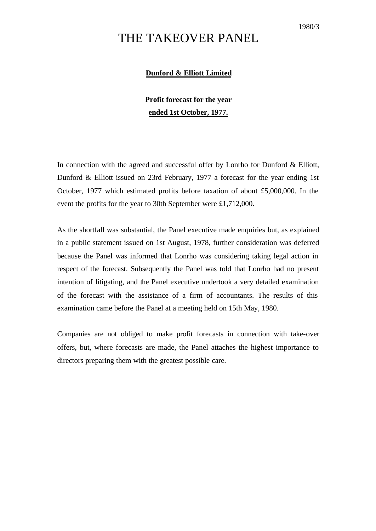## THE TAKEOVER PANEL

## **Dunford & Elliott Limited**

## **Profit forecast for the year ended 1st October, 1977.**

In connection with the agreed and successful offer by Lonrho for Dunford & Elliott, Dunford & Elliott issued on 23rd February, 1977 a forecast for the year ending 1st October, 1977 which estimated profits before taxation of about £5,000,000. In the event the profits for the year to 30th September were £1,712,000.

As the shortfall was substantial, the Panel executive made enquiries but, as explained in a public statement issued on 1st August, 1978, further consideration was deferred because the Panel was informed that Lonrho was considering taking legal action in respect of the forecast. Subsequently the Panel was told that Lonrho had no present intention of litigating, and the Panel executive undertook a very detailed examination of the forecast with the assistance of a firm of accountants. The results of this examination came before the Panel at a meeting held on 15th May, 1980.

Companies are not obliged to make profit forecasts in connection with take-over offers, but, where forecasts are made, the Panel attaches the highest importance to directors preparing them with the greatest possible care.